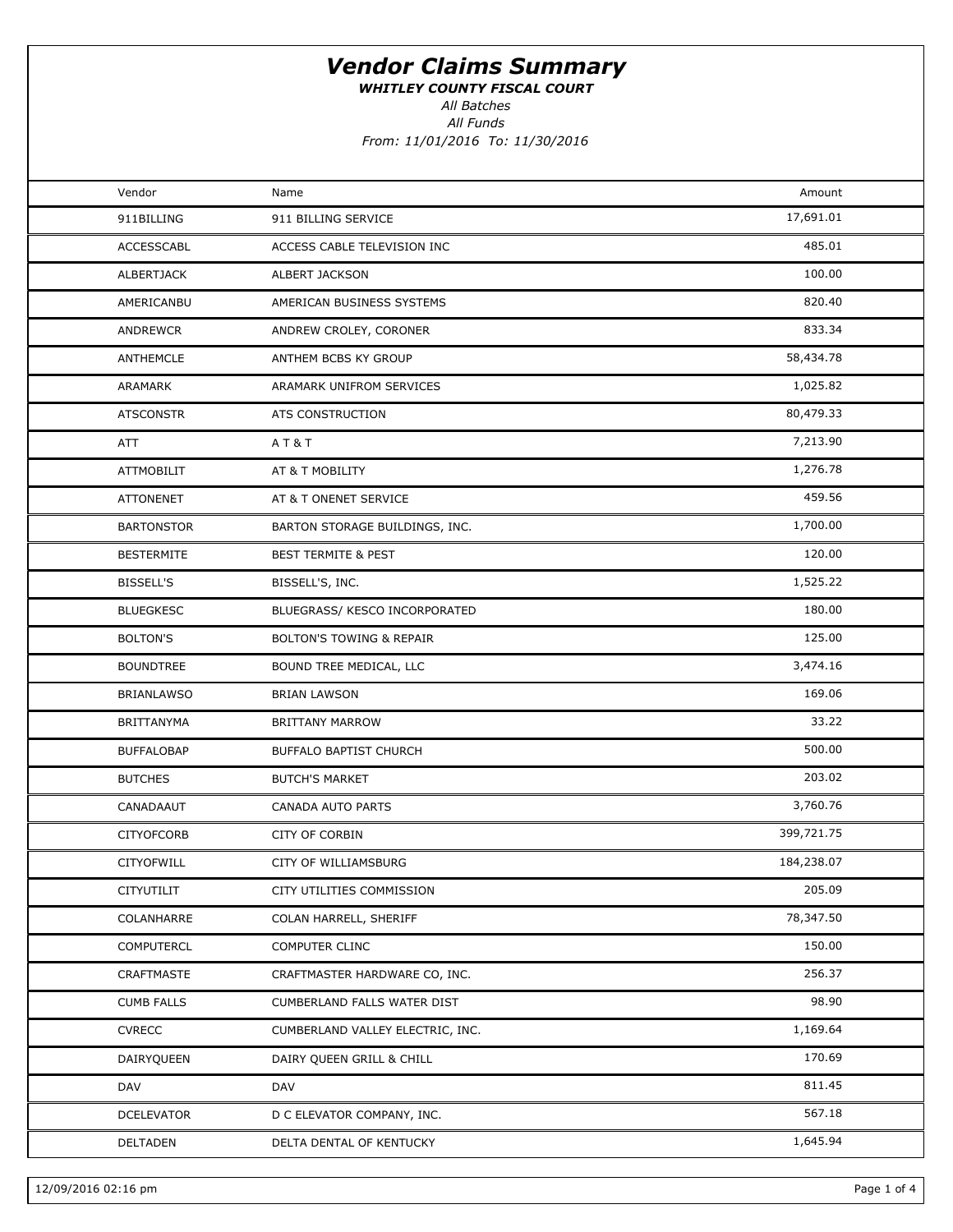WHITLEY COUNTY FISCAL COURT

All Funds All Batches

| Vendor            | Name                                | Amount     |  |
|-------------------|-------------------------------------|------------|--|
| 911BILLING        | 911 BILLING SERVICE                 | 17,691.01  |  |
| <b>ACCESSCABL</b> | ACCESS CABLE TELEVISION INC         | 485.01     |  |
| ALBERTJACK        | ALBERT JACKSON                      | 100.00     |  |
| AMERICANBU        | AMERICAN BUSINESS SYSTEMS           | 820.40     |  |
| ANDREWCR          | ANDREW CROLEY, CORONER              | 833.34     |  |
| ANTHEMCLE         | ANTHEM BCBS KY GROUP                | 58,434.78  |  |
| ARAMARK           | ARAMARK UNIFROM SERVICES            | 1,025.82   |  |
| <b>ATSCONSTR</b>  | ATS CONSTRUCTION                    | 80,479.33  |  |
| ATT               | A T & T                             | 7,213.90   |  |
| ATTMOBILIT        | AT & T MOBILITY                     | 1,276.78   |  |
| <b>ATTONENET</b>  | AT & T ONENET SERVICE               | 459.56     |  |
| <b>BARTONSTOR</b> | BARTON STORAGE BUILDINGS, INC.      | 1,700.00   |  |
| <b>BESTERMITE</b> | <b>BEST TERMITE &amp; PEST</b>      | 120.00     |  |
| <b>BISSELL'S</b>  | BISSELL'S, INC.                     | 1,525.22   |  |
| <b>BLUEGKESC</b>  | BLUEGRASS/ KESCO INCORPORATED       | 180.00     |  |
| <b>BOLTON'S</b>   | <b>BOLTON'S TOWING &amp; REPAIR</b> | 125.00     |  |
| <b>BOUNDTREE</b>  | BOUND TREE MEDICAL, LLC             | 3,474.16   |  |
| <b>BRIANLAWSO</b> | <b>BRIAN LAWSON</b>                 | 169.06     |  |
| <b>BRITTANYMA</b> | <b>BRITTANY MARROW</b>              | 33.22      |  |
| <b>BUFFALOBAP</b> | <b>BUFFALO BAPTIST CHURCH</b>       | 500.00     |  |
| <b>BUTCHES</b>    | <b>BUTCH'S MARKET</b>               | 203.02     |  |
| CANADAAUT         | CANADA AUTO PARTS                   | 3,760.76   |  |
| <b>CITYOFCORB</b> | <b>CITY OF CORBIN</b>               | 399,721.75 |  |
| CITYOFWILL        | CITY OF WILLIAMSBURG                | 184,238.07 |  |
| CITYUTILIT        | CITY UTILITIES COMMISSION           | 205.09     |  |
| COLANHARRE        | COLAN HARRELL, SHERIFF              | 78,347.50  |  |
| COMPUTERCL        | COMPUTER CLINC                      | 150.00     |  |
| CRAFTMASTE        | CRAFTMASTER HARDWARE CO, INC.       | 256.37     |  |
| <b>CUMB FALLS</b> | CUMBERLAND FALLS WATER DIST         | 98.90      |  |
| <b>CVRECC</b>     | CUMBERLAND VALLEY ELECTRIC, INC.    | 1,169.64   |  |
| DAIRYQUEEN        | DAIRY QUEEN GRILL & CHILL           | 170.69     |  |
| DAV               | DAV                                 | 811.45     |  |
| <b>DCELEVATOR</b> | D C ELEVATOR COMPANY, INC.          | 567.18     |  |
| DELTADEN          | DELTA DENTAL OF KENTUCKY            | 1,645.94   |  |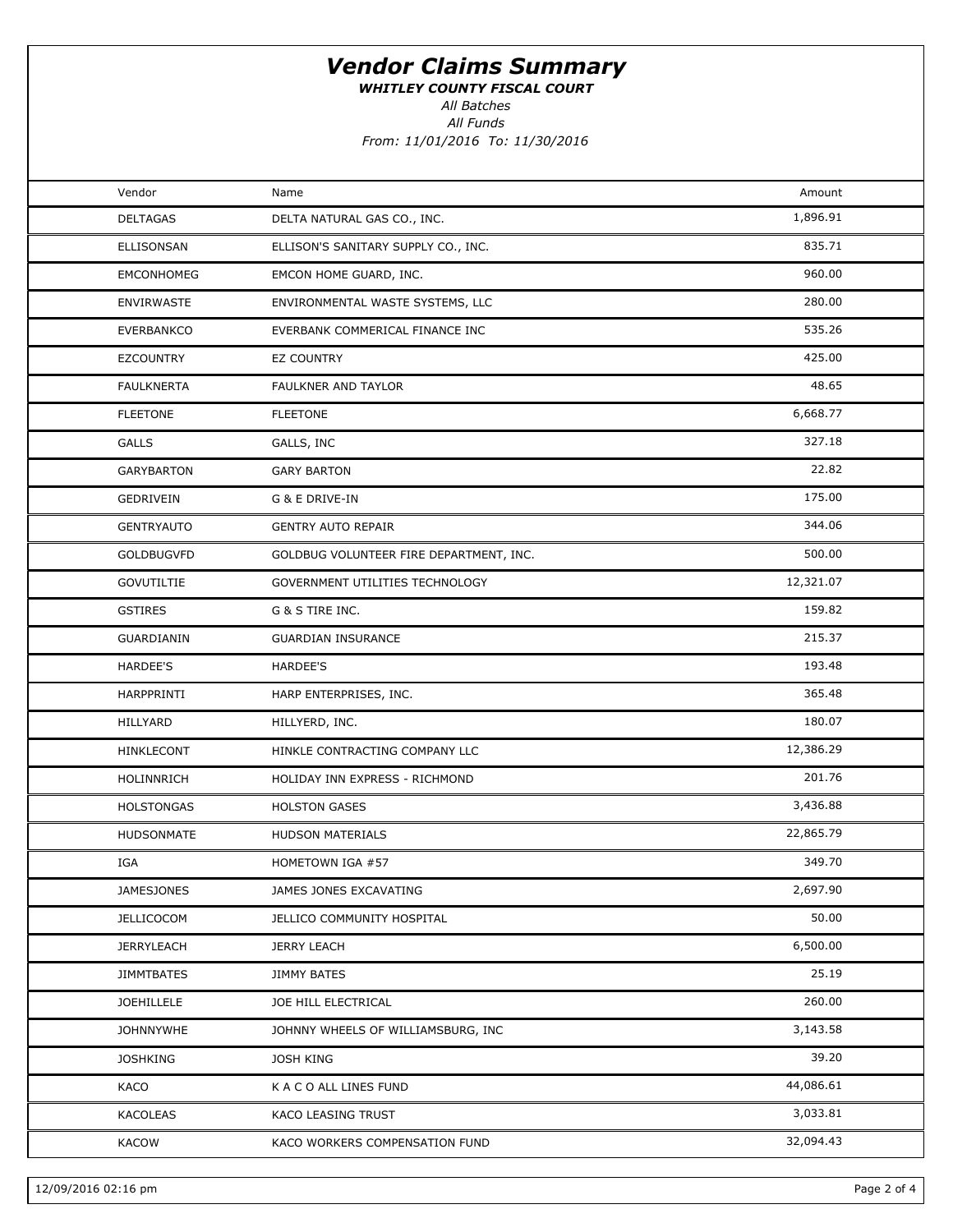WHITLEY COUNTY FISCAL COURT

All Batches

All Funds

| Vendor            | Name                                    | Amount    |  |
|-------------------|-----------------------------------------|-----------|--|
| <b>DELTAGAS</b>   | DELTA NATURAL GAS CO., INC.             | 1,896.91  |  |
| ELLISONSAN        | ELLISON'S SANITARY SUPPLY CO., INC.     | 835.71    |  |
| <b>EMCONHOMEG</b> | EMCON HOME GUARD, INC.                  | 960.00    |  |
| ENVIRWASTE        | ENVIRONMENTAL WASTE SYSTEMS, LLC        | 280.00    |  |
| <b>EVERBANKCO</b> | EVERBANK COMMERICAL FINANCE INC         | 535.26    |  |
| <b>EZCOUNTRY</b>  | EZ COUNTRY                              | 425.00    |  |
| <b>FAULKNERTA</b> | FAULKNER AND TAYLOR                     | 48.65     |  |
| <b>FLEETONE</b>   | <b>FLEETONE</b>                         | 6,668.77  |  |
| <b>GALLS</b>      | GALLS, INC                              | 327.18    |  |
| <b>GARYBARTON</b> | <b>GARY BARTON</b>                      | 22.82     |  |
| GEDRIVEIN         | G & E DRIVE-IN                          | 175.00    |  |
| <b>GENTRYAUTO</b> | <b>GENTRY AUTO REPAIR</b>               | 344.06    |  |
| <b>GOLDBUGVFD</b> | GOLDBUG VOLUNTEER FIRE DEPARTMENT, INC. | 500.00    |  |
| <b>GOVUTILTIE</b> | GOVERNMENT UTILITIES TECHNOLOGY         | 12,321.07 |  |
| <b>GSTIRES</b>    | G & S TIRE INC.                         | 159.82    |  |
| GUARDIANIN        | <b>GUARDIAN INSURANCE</b>               | 215.37    |  |
| HARDEE'S          | HARDEE'S                                | 193.48    |  |
| HARPPRINTI        | HARP ENTERPRISES, INC.                  | 365.48    |  |
| HILLYARD          | HILLYERD, INC.                          | 180.07    |  |
| HINKLECONT        | HINKLE CONTRACTING COMPANY LLC          | 12,386.29 |  |
| HOLINNRICH        | HOLIDAY INN EXPRESS - RICHMOND          | 201.76    |  |
| <b>HOLSTONGAS</b> | <b>HOLSTON GASES</b>                    | 3,436.88  |  |
| HUDSONMATE        | HUDSON MATERIALS                        | 22,865.79 |  |
| IGA               | HOMETOWN IGA #57                        | 349.70    |  |
| <b>JAMESJONES</b> | JAMES JONES EXCAVATING                  | 2,697.90  |  |
| <b>JELLICOCOM</b> | JELLICO COMMUNITY HOSPITAL              | 50.00     |  |
| <b>JERRYLEACH</b> | <b>JERRY LEACH</b>                      | 6,500.00  |  |
| <b>JIMMTBATES</b> | <b>JIMMY BATES</b>                      | 25.19     |  |
| JOEHILLELE        | JOE HILL ELECTRICAL                     | 260.00    |  |
| <b>JOHNNYWHE</b>  | JOHNNY WHEELS OF WILLIAMSBURG, INC      | 3,143.58  |  |
| <b>JOSHKING</b>   | <b>JOSH KING</b>                        | 39.20     |  |
| KACO              | K A C O ALL LINES FUND                  | 44,086.61 |  |
| KACOLEAS          | KACO LEASING TRUST                      | 3,033.81  |  |
| <b>KACOW</b>      | KACO WORKERS COMPENSATION FUND          | 32,094.43 |  |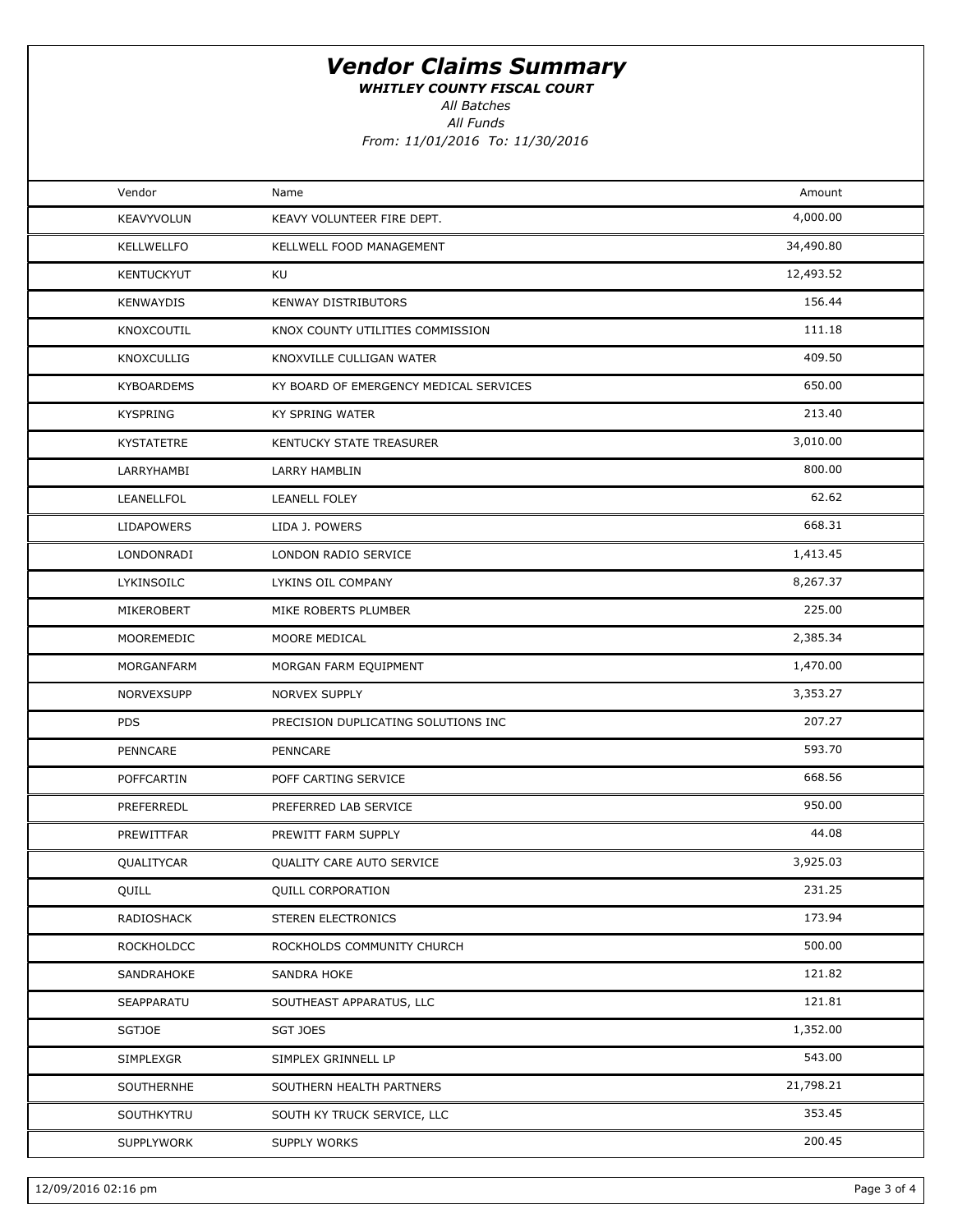WHITLEY COUNTY FISCAL COURT

All Batches

All Funds

| Vendor            | Name                                   | Amount    |  |
|-------------------|----------------------------------------|-----------|--|
| KEAVYVOLUN        | KEAVY VOLUNTEER FIRE DEPT.             | 4,000.00  |  |
| KELLWELLFO        | KELLWELL FOOD MANAGEMENT               | 34,490.80 |  |
| <b>KENTUCKYUT</b> | KU                                     | 12,493.52 |  |
| <b>KENWAYDIS</b>  | KENWAY DISTRIBUTORS                    | 156.44    |  |
| KNOXCOUTIL        | KNOX COUNTY UTILITIES COMMISSION       | 111.18    |  |
| <b>KNOXCULLIG</b> | KNOXVILLE CULLIGAN WATER               | 409.50    |  |
| <b>KYBOARDEMS</b> | KY BOARD OF EMERGENCY MEDICAL SERVICES | 650.00    |  |
| <b>KYSPRING</b>   | KY SPRING WATER                        | 213.40    |  |
| KYSTATETRE        | KENTUCKY STATE TREASURER               | 3,010.00  |  |
| LARRYHAMBI        | LARRY HAMBLIN                          | 800.00    |  |
| LEANELLFOL        | <b>LEANELL FOLEY</b>                   | 62.62     |  |
| <b>LIDAPOWERS</b> | LIDA J. POWERS                         | 668.31    |  |
| LONDONRADI        | LONDON RADIO SERVICE                   | 1,413.45  |  |
| LYKINSOILC        | LYKINS OIL COMPANY                     | 8,267.37  |  |
| MIKEROBERT        | MIKE ROBERTS PLUMBER                   | 225.00    |  |
| MOOREMEDIC        | MOORE MEDICAL                          | 2,385.34  |  |
| MORGANFARM        | MORGAN FARM EQUIPMENT                  | 1,470.00  |  |
| NORVEXSUPP        | NORVEX SUPPLY                          | 3,353.27  |  |
| <b>PDS</b>        | PRECISION DUPLICATING SOLUTIONS INC    | 207.27    |  |
| PENNCARE          | PENNCARE                               | 593.70    |  |
| POFFCARTIN        | POFF CARTING SERVICE                   | 668.56    |  |
| PREFERREDL        | PREFERRED LAB SERVICE                  | 950.00    |  |
| PREWITTFAR        | PREWITT FARM SUPPLY                    | 44.08     |  |
| QUALITYCAR        | QUALITY CARE AUTO SERVICE              | 3,925.03  |  |
| QUILL             | <b>QUILL CORPORATION</b>               | 231.25    |  |
| RADIOSHACK        | STEREN ELECTRONICS                     | 173.94    |  |
| ROCKHOLDCC        | ROCKHOLDS COMMUNITY CHURCH             | 500.00    |  |
| SANDRAHOKE        | SANDRA HOKE                            | 121.82    |  |
| SEAPPARATU        | SOUTHEAST APPARATUS, LLC               | 121.81    |  |
| SGTJOE            | SGT JOES                               | 1,352.00  |  |
| SIMPLEXGR         | SIMPLEX GRINNELL LP                    | 543.00    |  |
| SOUTHERNHE        | SOUTHERN HEALTH PARTNERS               | 21,798.21 |  |
| SOUTHKYTRU        | SOUTH KY TRUCK SERVICE, LLC            | 353.45    |  |
| SUPPLYWORK        | SUPPLY WORKS                           | 200.45    |  |